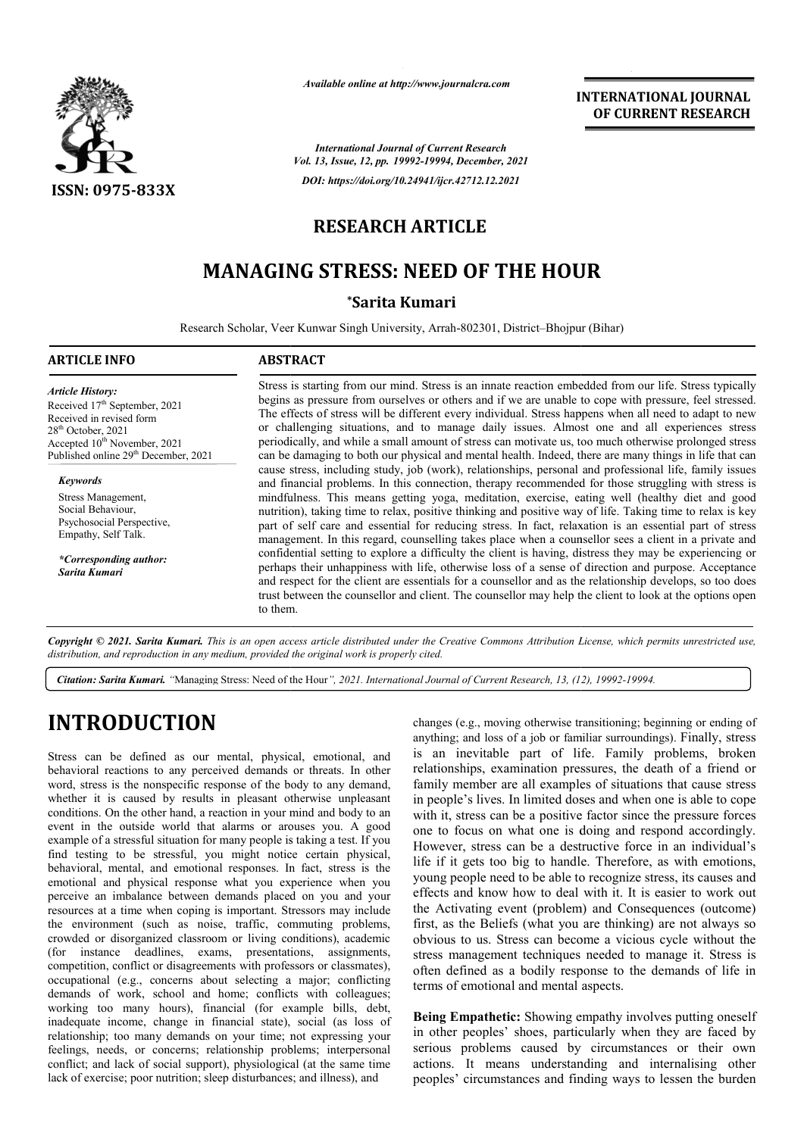

*Available online at http://www.journalcra.com*

**INTERNATIONAL JOURNAL OF CURRENT RESEARCH**

*International Journal of Current Research Vol. 13, Issue, 12, pp. 19992-19994, December, 2021 DOI: https://doi.org/10.24941/ijcr.42712.12.2021*

### **RESEARCH ARTICLE**

## **MANAGING STRESS: NEED OF THE HOUR**

#### **\*Sarita Kumari**

Research Scholar, Veer Kunwar Singh University, Arrah-802301, District-Bhojpur (Bihar)

| <b>ARTICLE INFO</b>                                                                                                                                                                                                                                                                                                                                                                   | <b>ABSTRACT</b>                                                                                                                                                                                                                                                                                                                                                                                                                                                                                                                                                                                                                                                                                                                                                                                                                                                                                                                                                                                                                                                                                                                                                                                                                                                                                                                                                                                                                                                                                                                                                                                                                                                                                                                                         |
|---------------------------------------------------------------------------------------------------------------------------------------------------------------------------------------------------------------------------------------------------------------------------------------------------------------------------------------------------------------------------------------|---------------------------------------------------------------------------------------------------------------------------------------------------------------------------------------------------------------------------------------------------------------------------------------------------------------------------------------------------------------------------------------------------------------------------------------------------------------------------------------------------------------------------------------------------------------------------------------------------------------------------------------------------------------------------------------------------------------------------------------------------------------------------------------------------------------------------------------------------------------------------------------------------------------------------------------------------------------------------------------------------------------------------------------------------------------------------------------------------------------------------------------------------------------------------------------------------------------------------------------------------------------------------------------------------------------------------------------------------------------------------------------------------------------------------------------------------------------------------------------------------------------------------------------------------------------------------------------------------------------------------------------------------------------------------------------------------------------------------------------------------------|
| <b>Article History:</b><br>Received 17 <sup>th</sup> September, 2021<br>Received in revised form<br>$28th$ October, 2021<br>Accepted 10 <sup>th</sup> November, 2021<br>Published online 29 <sup>th</sup> December, 2021<br><b>Keywords</b><br>Stress Management,<br>Social Behaviour,<br>Psychosocial Perspective,<br>Empathy, Self Talk.<br>*Corresponding author:<br>Sarita Kumari | Stress is starting from our mind. Stress is an innate reaction embedded from our life. Stress typically<br>begins as pressure from ourselves or others and if we are unable to cope with pressure, feel stressed.<br>The effects of stress will be different every individual. Stress happens when all need to adapt to new<br>or challenging situations, and to manage daily issues. Almost one and all experiences stress<br>periodically, and while a small amount of stress can motivate us, too much otherwise prolonged stress<br>can be damaging to both our physical and mental health. Indeed, there are many things in life that can<br>cause stress, including study, job (work), relationships, personal and professional life, family issues<br>and financial problems. In this connection, therapy recommended for those struggling with stress is<br>mindfulness. This means getting yoga, meditation, exercise, eating well (healthy diet and good<br>nutrition), taking time to relax, positive thinking and positive way of life. Taking time to relax is key<br>part of self care and essential for reducing stress. In fact, relaxation is an essential part of stress<br>management. In this regard, counselling takes place when a counsellor sees a client in a private and<br>confidential setting to explore a difficulty the client is having, distress they may be experiencing or<br>perhaps their unhappiness with life, otherwise loss of a sense of direction and purpose. Acceptance<br>and respect for the client are essentials for a counsellor and as the relationship develops, so too does<br>trust between the counsellor and client. The counsellor may help the client to look at the options open<br>to them. |

Copyright © 2021. Sarita Kumari. This is an open access article distributed under the Creative Commons Attribution License, which permits unrestricted use, *distribution, and reproduction in any medium, provided the original work is properly cited.*

Citation: Sarita Kumari. "Managing Stress: Need of the Hour", 2021. International Journal of Current Research, 13, (12), 19992-19994.

# **INTRODUCTION**

Stress can be defined as our mental, physical, emotional, and behavioral reactions to any perceived demands or threats. In other word, stress is the nonspecific response of the body to any demand, whether it is caused by results in pleasant otherwise unpleasant conditions. On the other hand, a reaction in your mind and body to an event in the outside world that alarms or arouses you. A good example of a stressful situation for many people is taking a test. If you find testing to be stressful, you might notice certain physical, behavioral, mental, and emotional responses. In fact, stress is the emotional and physical response what you experience when you perceive an imbalance between demands placed on you and your resources at a time when coping is important. Stressors may include the environment (such as noise, traffic, commuting problems, crowded or disorganized classroom or living conditions), academic (for instance deadlines, exams, presentations, assignments, competition, conflict or disagreements with professors or classmates), occupational (e.g., concerns about selecting a major; conflicting demands of work, school and home; conflicts with colleagues; working too many hours), financial (for example bills, debt, inadequate income, change in financial state), social (as loss of relationship; too many demands on your time; not expressing your feelings, needs, or concerns; relationship problems; interpersonal conflict; and lack of social support), physiological (at the same time lack of exercise; poor nutrition; sleep disturbances; and illness), and

**LON**<br>
changes (e.g., movional, and is an inevitable part of life. Family propercived demans or threats, in other relationshiply, exters<br>
gy preceived demans or threats. In other relationships, examination pressures, the d changes (e.g., moving otherwise transitioning; beginning or ending of anything; and loss of a job or familiar surroundings). Finally, stress is an inevitable part of life. Family problems, broken relationships, examination pressures, the death of a friend or family member are all examples of situations that cause stress in people's lives. In limited doses and when one is able to cope with it, stress can be a positive factor since the pressure forces one to focus on what one is doing and respond accordingly. However, stress can be a destructive force in an individual's life if it gets too big to handle. Therefore, as with emotions, young people need to be able to recognize stress, its causes and effects and know how to deal with it. It is easier to work out the Activating event (problem) and Consequences (outcome) first, as the Beliefs (what you are thinking) are not always so obvious to us. Stress can become a vicious cycle without the stress management techniques needed to manage it. Stress is often defined as a bodily response to the demands of life in terms of emotional and mental aspects. is an inevitable part of life. Family problems, broken relationships, examination pressures, the death of a friend or family member are all examples of situations that cause stress in people's lives. In limited doses and w **EXERVATIONAL DOURNAL CANTIONAL DOURNAL CANTIFICATS**<br> **CANTIFICATS ARE TRIST AND ACTIVE CONSUMMAL CONSUMPLE CONSUMPLE CONSUMPLE CONSUMPLE CONSUMPLE CONSUMPLE (S. Arms. 502301, District-Hoppier (Hilam)<br>
Stress is an image r** 

**Being Empathetic:** Showing empathy involves putting oneself in other peoples' shoes, particularly when they are faced by serious problems caused by circumstances or their own actions. It means understanding and internalising other peoples' circumstances and finding ways to lessen the burden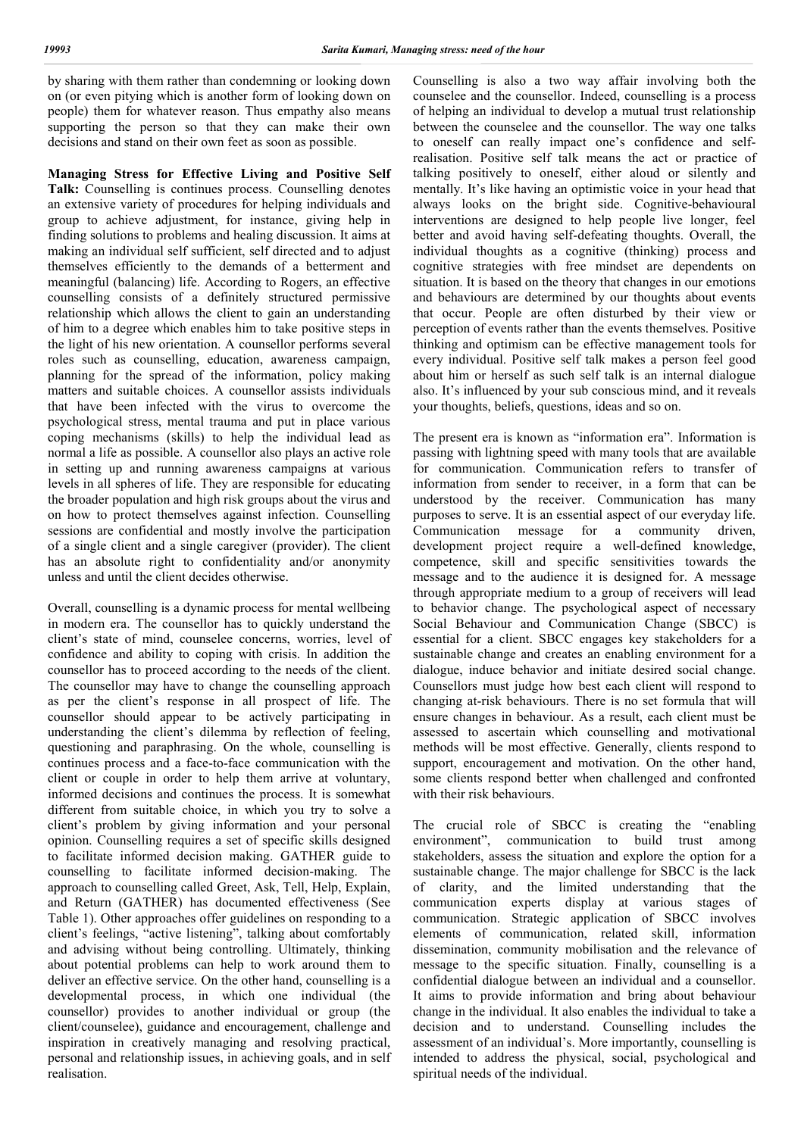by sharing with them rather than condemning or looking down on (or even pitying which is another form of looking down on people) them for whatever reason. Thus empathy also means supporting the person so that they can make their own decisions and stand on their own feet as soon as possible.

**Managing Stress for Effective Living and Positive Self Talk:** Counselling is continues process. Counselling denotes an extensive variety of procedures for helping individuals and group to achieve adjustment, for instance, giving help in finding solutions to problems and healing discussion. It aims at making an individual self sufficient, self directed and to adjust themselves efficiently to the demands of a betterment and meaningful (balancing) life. According to Rogers, an effective counselling consists of a definitely structured permissive relationship which allows the client to gain an understanding of him to a degree which enables him to take positive steps in the light of his new orientation. A counsellor performs several roles such as counselling, education, awareness campaign, planning for the spread of the information, policy making matters and suitable choices. A counsellor assists individuals that have been infected with the virus to overcome the psychological stress, mental trauma and put in place various coping mechanisms (skills) to help the individual lead as normal a life as possible. A counsellor also plays an active role in setting up and running awareness campaigns at various levels in all spheres of life. They are responsible for educating the broader population and high risk groups about the virus and on how to protect themselves against infection. Counselling sessions are confidential and mostly involve the participation of a single client and a single caregiver (provider). The client has an absolute right to confidentiality and/or anonymity unless and until the client decides otherwise.

Overall, counselling is a dynamic process for mental wellbeing in modern era. The counsellor has to quickly understand the client's state of mind, counselee concerns, worries, level of confidence and ability to coping with crisis. In addition the counsellor has to proceed according to the needs of the client. The counsellor may have to change the counselling approach as per the client's response in all prospect of life. The counsellor should appear to be actively participating in understanding the client's dilemma by reflection of feeling, questioning and paraphrasing. On the whole, counselling is continues process and a face-to-face communication with the client or couple in order to help them arrive at voluntary, informed decisions and continues the process. It is somewhat different from suitable choice, in which you try to solve a client's problem by giving information and your personal opinion. Counselling requires a set of specific skills designed to facilitate informed decision making. GATHER guide to counselling to facilitate informed decision-making. The approach to counselling called Greet, Ask, Tell, Help, Explain, and Return (GATHER) has documented effectiveness (See Table 1). Other approaches offer guidelines on responding to a client's feelings, "active listening", talking about comfortably and advising without being controlling. Ultimately, thinking about potential problems can help to work around them to deliver an effective service. On the other hand, counselling is a developmental process, in which one individual (the counsellor) provides to another individual or group (the client/counselee), guidance and encouragement, challenge and inspiration in creatively managing and resolving practical, personal and relationship issues, in achieving goals, and in self realisation.

Counselling is also a two way affair involving both the counselee and the counsellor. Indeed, counselling is a process of helping an individual to develop a mutual trust relationship between the counselee and the counsellor. The way one talks to oneself can really impact one's confidence and selfrealisation. Positive self talk means the act or practice of talking positively to oneself, either aloud or silently and mentally. It's like having an optimistic voice in your head that always looks on the bright side. Cognitive-behavioural interventions are designed to help people live longer, feel better and avoid having self-defeating thoughts. Overall, the individual thoughts as a cognitive (thinking) process and cognitive strategies with free mindset are dependents on situation. It is based on the theory that changes in our emotions and behaviours are determined by our thoughts about events that occur. People are often disturbed by their view or perception of events rather than the events themselves. Positive thinking and optimism can be effective management tools for every individual. Positive self talk makes a person feel good about him or herself as such self talk is an internal dialogue also. It's influenced by your sub conscious mind, and it reveals your thoughts, beliefs, questions, ideas and so on.

The present era is known as "information era". Information is passing with lightning speed with many tools that are available for communication. Communication refers to transfer of information from sender to receiver, in a form that can be understood by the receiver. Communication has many purposes to serve. It is an essential aspect of our everyday life. Communication message for a community driven, development project require a well-defined knowledge, competence, skill and specific sensitivities towards the message and to the audience it is designed for. A message through appropriate medium to a group of receivers will lead to behavior change. The psychological aspect of necessary Social Behaviour and Communication Change (SBCC) is essential for a client. SBCC engages key stakeholders for a sustainable change and creates an enabling environment for a dialogue, induce behavior and initiate desired social change. Counsellors must judge how best each client will respond to changing at-risk behaviours. There is no set formula that will ensure changes in behaviour. As a result, each client must be assessed to ascertain which counselling and motivational methods will be most effective. Generally, clients respond to support, encouragement and motivation. On the other hand, some clients respond better when challenged and confronted with their risk behaviours.

The crucial role of SBCC is creating the "enabling environment", communication to build trust among stakeholders, assess the situation and explore the option for a sustainable change. The major challenge for SBCC is the lack of clarity, and the limited understanding that the communication experts display at various stages of communication. Strategic application of SBCC involves elements of communication, related skill, information dissemination, community mobilisation and the relevance of message to the specific situation. Finally, counselling is a confidential dialogue between an individual and a counsellor. It aims to provide information and bring about behaviour change in the individual. It also enables the individual to take a decision and to understand. Counselling includes the assessment of an individual's. More importantly, counselling is intended to address the physical, social, psychological and spiritual needs of the individual.